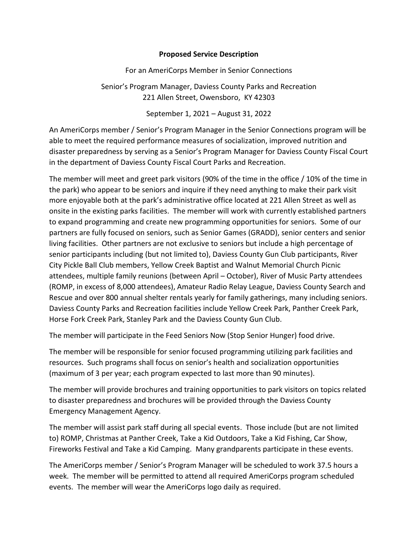## **Proposed Service Description**

For an AmeriCorps Member in Senior Connections

Senior's Program Manager, Daviess County Parks and Recreation 221 Allen Street, Owensboro, KY 42303

September 1, 2021 – August 31, 2022

An AmeriCorps member / Senior's Program Manager in the Senior Connections program will be able to meet the required performance measures of socialization, improved nutrition and disaster preparedness by serving as a Senior's Program Manager for Daviess County Fiscal Court in the department of Daviess County Fiscal Court Parks and Recreation.

The member will meet and greet park visitors (90% of the time in the office / 10% of the time in the park) who appear to be seniors and inquire if they need anything to make their park visit more enjoyable both at the park's administrative office located at 221 Allen Street as well as onsite in the existing parks facilities. The member will work with currently established partners to expand programming and create new programming opportunities for seniors. Some of our partners are fully focused on seniors, such as Senior Games (GRADD), senior centers and senior living facilities. Other partners are not exclusive to seniors but include a high percentage of senior participants including (but not limited to), Daviess County Gun Club participants, River City Pickle Ball Club members, Yellow Creek Baptist and Walnut Memorial Church Picnic attendees, multiple family reunions (between April – October), River of Music Party attendees (ROMP, in excess of 8,000 attendees), Amateur Radio Relay League, Daviess County Search and Rescue and over 800 annual shelter rentals yearly for family gatherings, many including seniors. Daviess County Parks and Recreation facilities include Yellow Creek Park, Panther Creek Park, Horse Fork Creek Park, Stanley Park and the Daviess County Gun Club.

The member will participate in the Feed Seniors Now (Stop Senior Hunger) food drive.

The member will be responsible for senior focused programming utilizing park facilities and resources. Such programs shall focus on senior's health and socialization opportunities (maximum of 3 per year; each program expected to last more than 90 minutes).

The member will provide brochures and training opportunities to park visitors on topics related to disaster preparedness and brochures will be provided through the Daviess County Emergency Management Agency.

The member will assist park staff during all special events. Those include (but are not limited to) ROMP, Christmas at Panther Creek, Take a Kid Outdoors, Take a Kid Fishing, Car Show, Fireworks Festival and Take a Kid Camping. Many grandparents participate in these events.

The AmeriCorps member / Senior's Program Manager will be scheduled to work 37.5 hours a week. The member will be permitted to attend all required AmeriCorps program scheduled events. The member will wear the AmeriCorps logo daily as required.